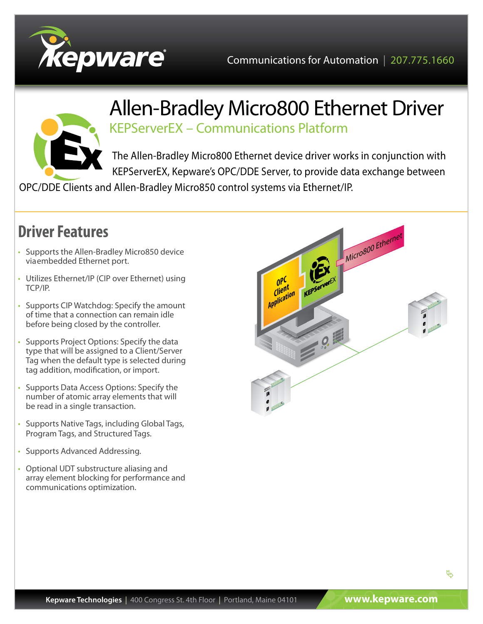



## Allen-Bradley Micro800 Ethernet Driver KEPServerEX – Communications Platform

The Allen-Bradley Micro800 Ethernet device driver works in conjunction with KEPServerEX, Kepware's OPC/DDE Server, to provide data exchange between

OPC/DDE Clients and Allen-Bradley Micro850 control systems via Ethernet/IP.

## **Driver Features**

- Supports the Allen-Bradley Micro850 device viaembedded Ethernet port.
- Utilizes Ethernet/IP (CIP over Ethernet) using TCP/IP.
- Supports CIP Watchdog: Specify the amount of time that a connection can remain idle before being closed by the controller.
- Supports Project Options: Specify the data type that will be assigned to a Client/Server Tag when the default type is selected during tag addition, modification, or import.
- Supports Data Access Options: Specify the number of atomic array elements that will be read in a single transaction.
- Supports Native Tags, including Global Tags, Program Tags, and Structured Tags.
- Supports Advanced Addressing.
- Optional UDT substructure aliasing and array element blocking for performance and communications optimization.